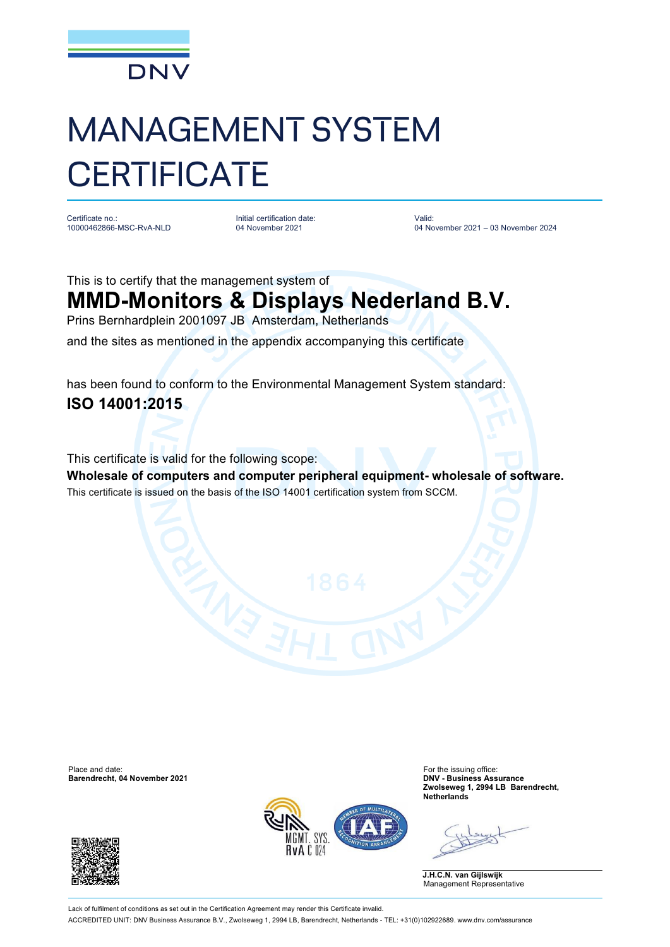

## MANAGEMENT SYSTEM **CERTIFICATE**

Certificate no.: 10000462866-MSC-RvA-NLD Initial certification date: 04 November 2021

Valid: 04 November 2021 – 03 November 2024

This is to certify that the management system of

## **MMD-Monitors & Displays Nederland B.V.**

Prins Bernhardplein 2001097 JB Amsterdam, Netherlands

and the sites as mentioned in the appendix accompanying this certificate

has been found to conform to the Environmental Management System standard: **ISO 14001:2015**

This certificate is valid for the following scope:

**Wholesale of computers and computer peripheral equipment- wholesale of software.** This certificate is issued on the basis of the ISO 14001 certification system from SCCM.

Place and date: For the issuing office:<br> **Barendrecht, 04 November 2021** Contract and the interval of the interval of the issuing office: Contract and the i<br> **Barendrecht, 04 November 2021** Contract and the interval of the **Barendrecht, 04 November 2021** 





**Zwolseweg 1, 2994 LB Barendrecht, Netherlands**

**J.H.C.N. van Gijlswijk** Management Representative

Lack of fulfilment of conditions as set out in the Certification Agreement may render this Certificate invalid. ACCREDITED UNIT: DNV Business Assurance B.V., Zwolseweg 1, 2994 LB, Barendrecht, Netherlands - TEL: +31(0)102922689. [www.dnv.com/assurance](http://www.dnv.com/assurance)